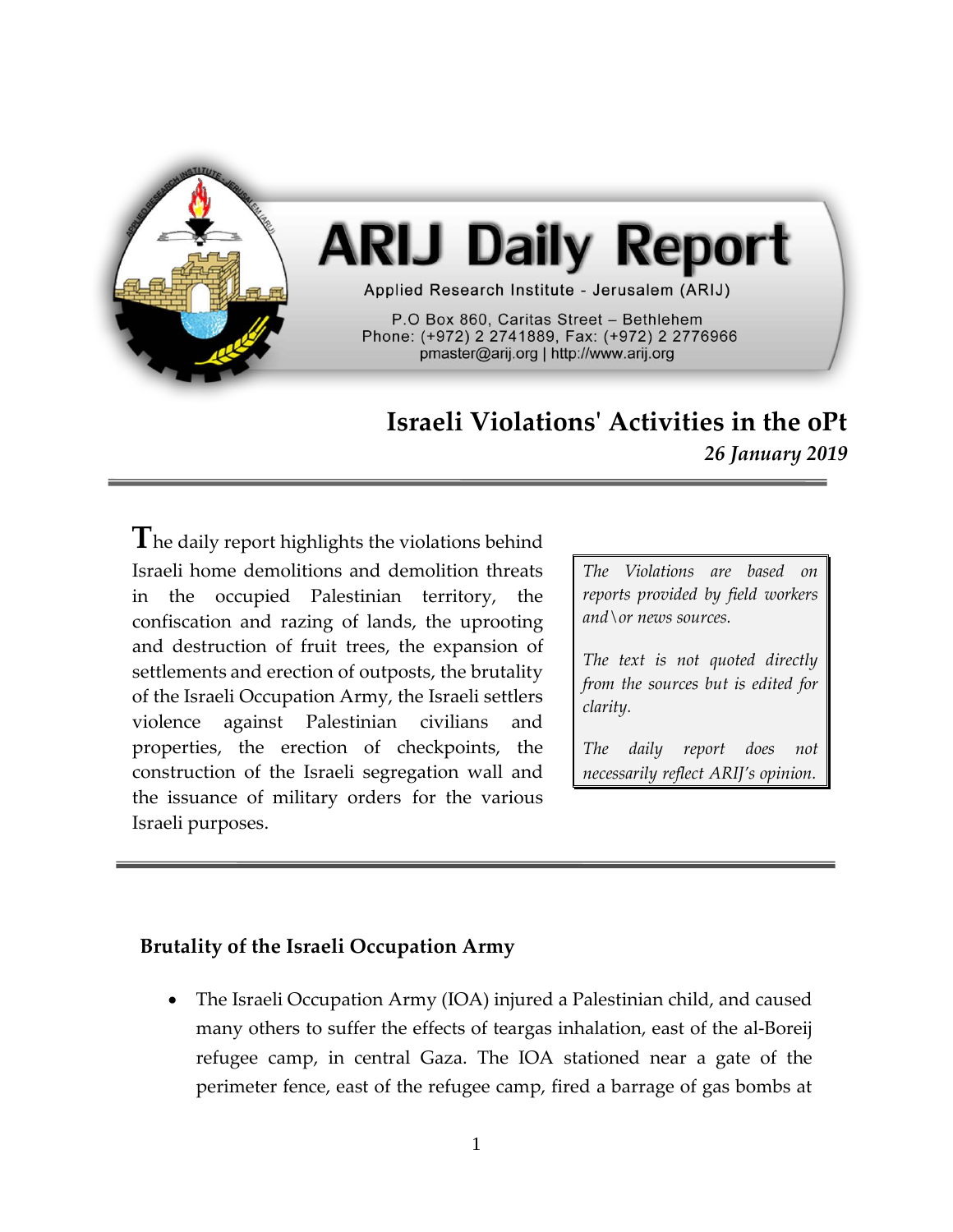

# **Israeli Violations' Activities in the oPt**

*26 January 2019*

**T**he daily report highlights the violations behind Israeli home demolitions and demolition threats in the occupied Palestinian territory, the confiscation and razing of lands, the uprooting and destruction of fruit trees, the expansion of settlements and erection of outposts, the brutality of the Israeli Occupation Army, the Israeli settlers violence against Palestinian civilians and properties, the erection of checkpoints, the construction of the Israeli segregation wall and the issuance of military orders for the various Israeli purposes.

*The Violations are based on reports provided by field workers and\or news sources.*

*The text is not quoted directly from the sources but is edited for clarity.*

*The daily report does not necessarily reflect ARIJ's opinion.*

## **Brutality of the Israeli Occupation Army**

• The Israeli Occupation Army (IOA) injured a Palestinian child, and caused many others to suffer the effects of teargas inhalation, east of the al-Boreij refugee camp, in central Gaza. The IOA stationed near a gate of the perimeter fence, east of the refugee camp, fired a barrage of gas bombs at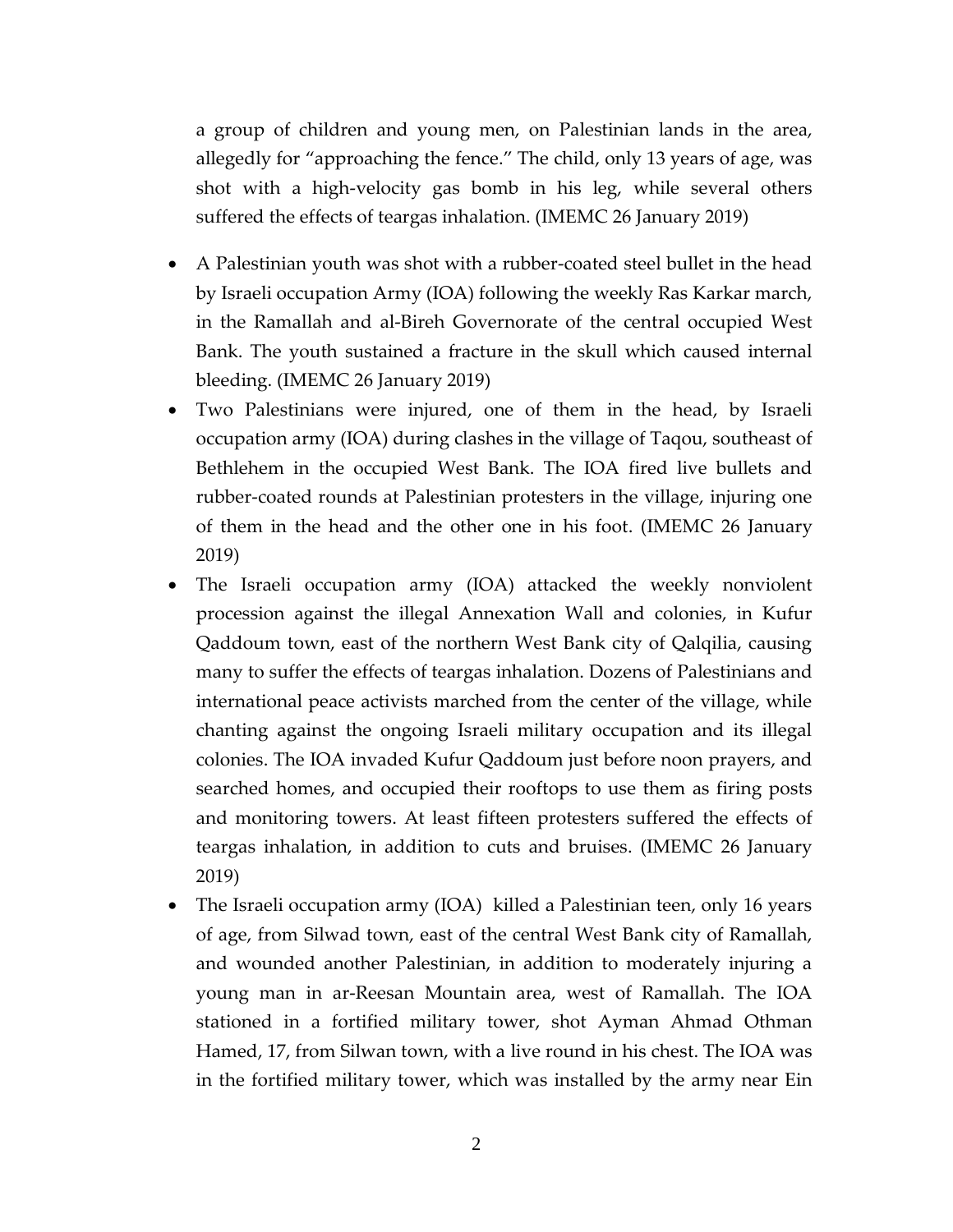a group of children and young men, on Palestinian lands in the area, allegedly for "approaching the fence." The child, only 13 years of age, was shot with a high-velocity gas bomb in his leg, while several others suffered the effects of teargas inhalation. (IMEMC 26 January 2019)

- A Palestinian youth was shot with a rubber-coated steel bullet in the head by Israeli occupation Army (IOA) following the weekly Ras Karkar march, in the Ramallah and al-Bireh Governorate of the central occupied West Bank. The youth sustained a fracture in the skull which caused internal bleeding. (IMEMC 26 January 2019)
- Two Palestinians were injured, one of them in the head, by Israeli occupation army (IOA) during clashes in the village of Taqou, southeast of Bethlehem in the occupied West Bank. The IOA fired live bullets and rubber-coated rounds at Palestinian protesters in the village, injuring one of them in the head and the other one in his foot. (IMEMC 26 January 2019)
- The Israeli occupation army (IOA) attacked the weekly nonviolent procession against the illegal Annexation Wall and colonies, in Kufur Qaddoum town, east of the northern West Bank city of Qalqilia, causing many to suffer the effects of teargas inhalation. Dozens of Palestinians and international peace activists marched from the center of the village, while chanting against the ongoing Israeli military occupation and its illegal colonies. The IOA invaded Kufur Qaddoum just before noon prayers, and searched homes, and occupied their rooftops to use them as firing posts and monitoring towers. At least fifteen protesters suffered the effects of teargas inhalation, in addition to cuts and bruises. (IMEMC 26 January 2019)
- The Israeli occupation army (IOA) killed a Palestinian teen, only 16 years of age, from Silwad town, east of the central West Bank city of Ramallah, and wounded another Palestinian, in addition to moderately injuring a young man in ar-Reesan Mountain area, west of Ramallah. The IOA stationed in a fortified military tower, shot Ayman Ahmad Othman Hamed, 17, from Silwan town, with a live round in his chest. The IOA was in the fortified military tower, which was installed by the army near Ein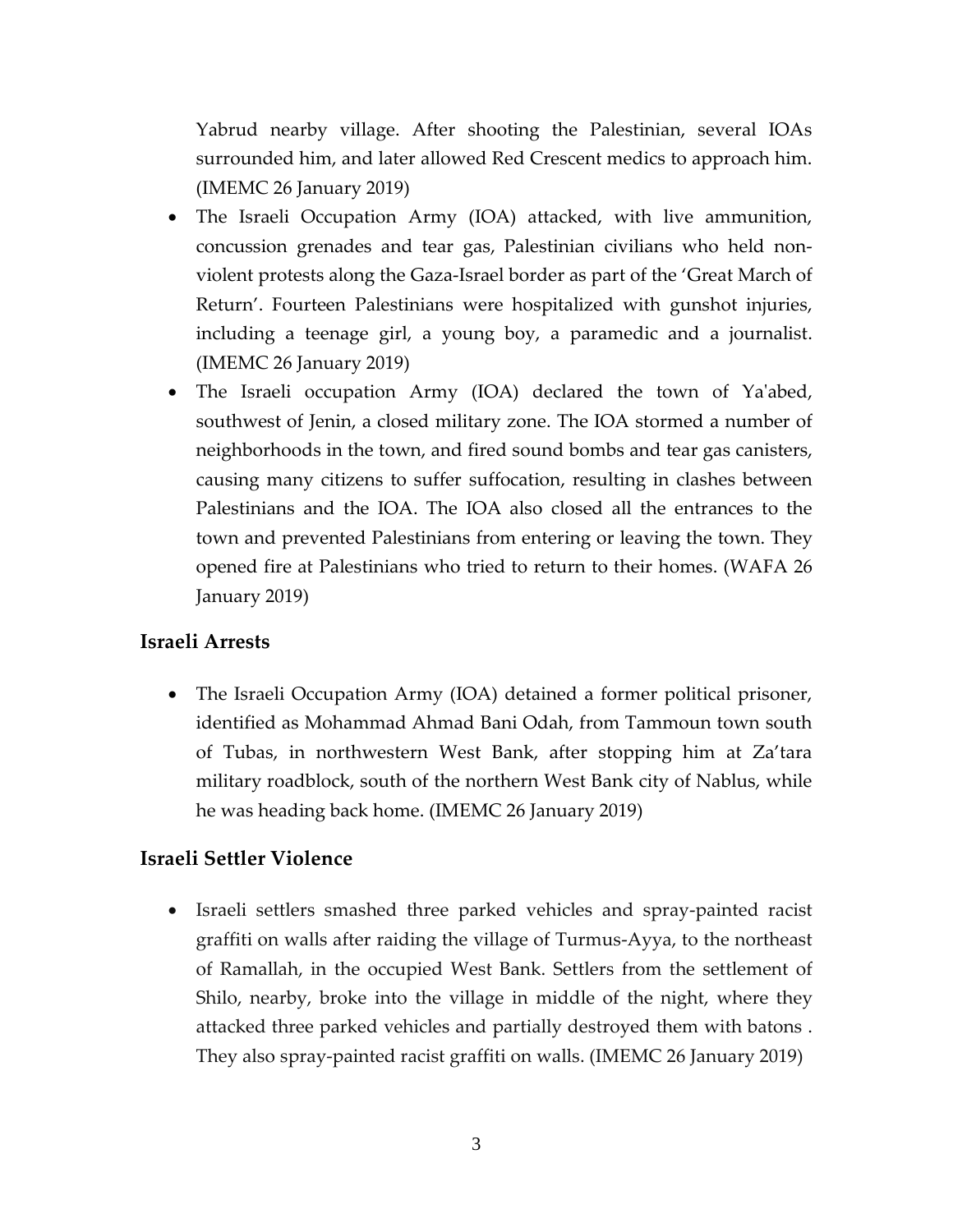Yabrud nearby village. After shooting the Palestinian, several IOAs surrounded him, and later allowed Red Crescent medics to approach him. (IMEMC 26 January 2019)

- The Israeli Occupation Army (IOA) attacked, with live ammunition, concussion grenades and tear gas, Palestinian civilians who held nonviolent protests along the Gaza-Israel border as part of the 'Great March of Return'. Fourteen Palestinians were hospitalized with gunshot injuries, including a teenage girl, a young boy, a paramedic and a journalist. (IMEMC 26 January 2019)
- The Israeli occupation Army (IOA) declared the town of Ya'abed, southwest of Jenin, a closed military zone. The IOA stormed a number of neighborhoods in the town, and fired sound bombs and tear gas canisters, causing many citizens to suffer suffocation, resulting in clashes between Palestinians and the IOA. The IOA also closed all the entrances to the town and prevented Palestinians from entering or leaving the town. They opened fire at Palestinians who tried to return to their homes. (WAFA 26 January 2019)

### **Israeli Arrests**

• The Israeli Occupation Army (IOA) detained a former political prisoner, identified as Mohammad Ahmad Bani Odah, from Tammoun town south of Tubas, in northwestern West Bank, after stopping him at Za'tara military roadblock, south of the northern West Bank city of Nablus, while he was heading back home. (IMEMC 26 January 2019)

#### **Israeli Settler Violence**

• Israeli settlers smashed three parked vehicles and spray-painted racist graffiti on walls after raiding the village of Turmus-Ayya, to the northeast of Ramallah, in the occupied West Bank. Settlers from the settlement of Shilo, nearby, broke into the village in middle of the night, where they attacked three parked vehicles and partially destroyed them with batons . They also spray-painted racist graffiti on walls. (IMEMC 26 January 2019)